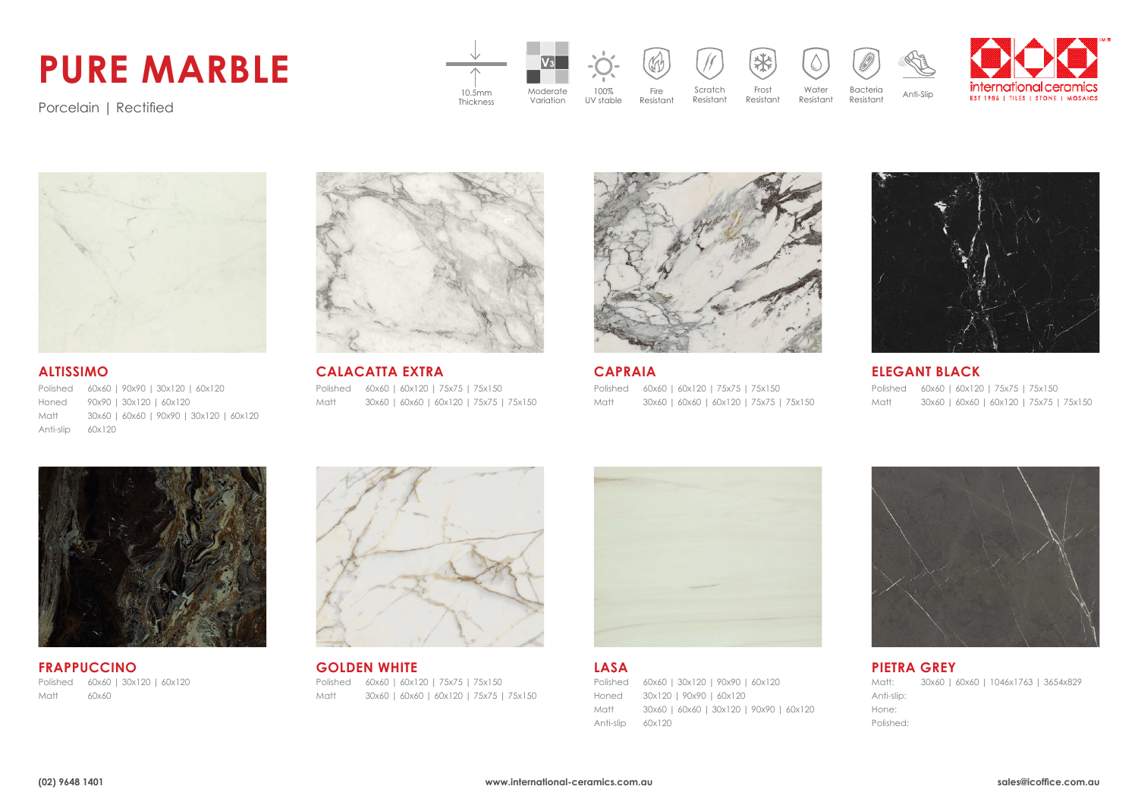## **PURE MARBLE**

**V3** international ceramic Scratch Moderate 100% Fire Frost Water Bacteria 10.5mm Anti-Slip Thickness**EST 1985 | TILES | STONE | MOSAICS** Resistant Resistant Resistant Resistant Variation UV stable Resistant

Porcelain | Rectified



Polished 60x60 | 90x90 | 30x120 | 60x120 Honed Matt Anti-slip 90x90 | 30x120 | 60x120 30x60 | 60x60 | 90x90 | 30x120 | 60x120 60x120



**ALTISSIMO CALACATTA EXTRA CAPRAIA ELEGANT BLACK** Polished 60x60 | 60x120 | 75x75 | 75x150 Matt 30x60 | 60x60 | 60x120 | 75x75 | 75x150



Polished 60x60 | 60x120 | 75x75 | 75x150 Matt 30x60 | 60x60 | 60x120 | 75x75 | 75x150



Polished 60x60 | 60x120 | 75x75 | 75x150 Matt 30x60 | 60x60 | 60x120 | 75x75 | 75x150



Polished 60x60 | 30x120 | 60x120 Matt 60x60



**FRAPPUCCINO GOLDEN WHITE LASA PIETRA GREY** Polished 60x60 | 60x120 | 75x75 | 75x150 Matt 30x60 | 60x60 | 60x120 | 75x75 | 75x150



Polished 60x60 | 30x120 | 90x90 | 60x120 Honed Matt Anti-slip 60x120 30x120 | 90x90 | 60x120 30x60 | 60x60 | 30x120 | 90x90 | 60x120



Matt: Anti-slip: Hone: Polished: 30x60 | 60x60 | 1046x1763 | 3654x829